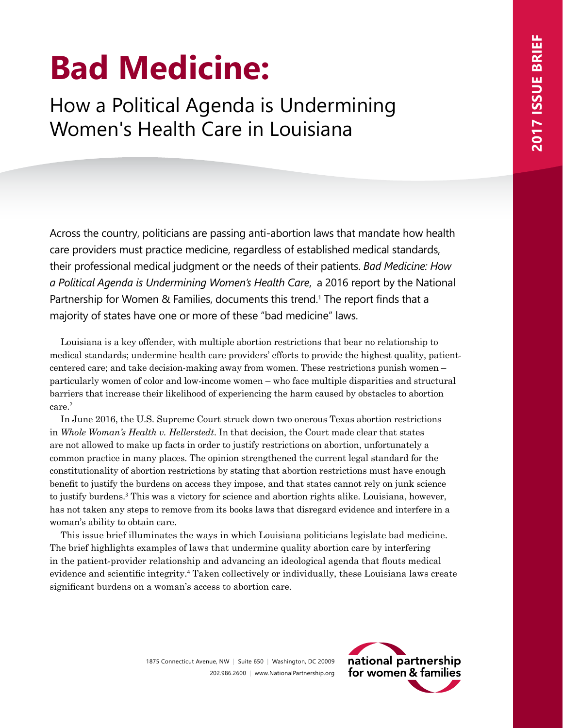# **Bad Medicine:**

How a Political Agenda is Undermining Women's Health Care in Louisiana

Across the country, politicians are passing anti-abortion laws that mandate how health care providers must practice medicine, regardless of established medical standards, their professional medical judgment or the needs of their patients. *Bad Medicine: How a Political Agenda is Undermining Women's Health Care*, a 2016 report by the National Partnership for Women & Families, documents this trend.1 The report finds that a majority of states have one or more of these "bad medicine" laws.

Louisiana is a key offender, with multiple abortion restrictions that bear no relationship to medical standards; undermine health care providers' efforts to provide the highest quality, patientcentered care; and take decision-making away from women. These restrictions punish women – particularly women of color and low-income women – who face multiple disparities and structural barriers that increase their likelihood of experiencing the harm caused by obstacles to abortion care.<sup>2</sup>

In June 2016, the U.S. Supreme Court struck down two onerous Texas abortion restrictions in *Whole Woman's Health v. Hellerstedt*. In that decision, the Court made clear that states are not allowed to make up facts in order to justify restrictions on abortion, unfortunately a common practice in many places. The opinion strengthened the current legal standard for the constitutionality of abortion restrictions by stating that abortion restrictions must have enough benefit to justify the burdens on access they impose, and that states cannot rely on junk science to justify burdens.<sup>3</sup> This was a victory for science and abortion rights alike. Louisiana, however, has not taken any steps to remove from its books laws that disregard evidence and interfere in a woman's ability to obtain care.

This issue brief illuminates the ways in which Louisiana politicians legislate bad medicine. The brief highlights examples of laws that undermine quality abortion care by interfering in the patient-provider relationship and advancing an ideological agenda that flouts medical evidence and scientific integrity.<sup>4</sup> Taken collectively or individually, these Louisiana laws create significant burdens on a woman's access to abortion care.

> 1875 Connecticut Avenue, NW | Suite 650 | Washington, DC 20009 202.986.2600 | www.NationalPartnership.org

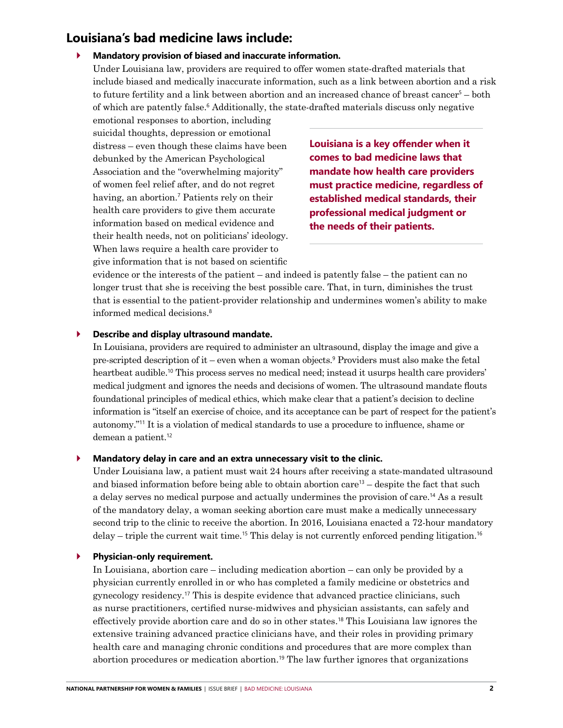# **Louisiana's bad medicine laws include:**

## ` **Mandatory provision of biased and inaccurate information.**

Under Louisiana law, providers are required to offer women state-drafted materials that include biased and medically inaccurate information, such as a link between abortion and a risk to future fertility and a link between abortion and an increased chance of breast cancer<sup>5</sup> – both of which are patently false.<sup>6</sup> Additionally, the state-drafted materials discuss only negative

emotional responses to abortion, including suicidal thoughts, depression or emotional distress – even though these claims have been debunked by the American Psychological Association and the "overwhelming majority" of women feel relief after, and do not regret having, an abortion.<sup>7</sup> Patients rely on their health care providers to give them accurate information based on medical evidence and their health needs, not on politicians' ideology. When laws require a health care provider to give information that is not based on scientific

**Louisiana is a key offender when it comes to bad medicine laws that mandate how health care providers must practice medicine, regardless of established medical standards, their professional medical judgment or the needs of their patients.** 

evidence or the interests of the patient – and indeed is patently false – the patient can no longer trust that she is receiving the best possible care. That, in turn, diminishes the trust that is essential to the patient-provider relationship and undermines women's ability to make informed medical decisions.<sup>8</sup>

### ` **Describe and display ultrasound mandate.**

In Louisiana, providers are required to administer an ultrasound, display the image and give a pre-scripted description of it – even when a woman objects.<sup>9</sup> Providers must also make the fetal heartbeat audible.<sup>10</sup> This process serves no medical need; instead it usurps health care providers' medical judgment and ignores the needs and decisions of women. The ultrasound mandate flouts foundational principles of medical ethics, which make clear that a patient's decision to decline information is "itself an exercise of choice, and its acceptance can be part of respect for the patient's autonomy."11 It is a violation of medical standards to use a procedure to influence, shame or demean a patient.<sup>12</sup>

#### ` **Mandatory delay in care and an extra unnecessary visit to the clinic.**

Under Louisiana law, a patient must wait 24 hours after receiving a state-mandated ultrasound and biased information before being able to obtain abortion care<sup>13</sup> – despite the fact that such a delay serves no medical purpose and actually undermines the provision of care.14 As a result of the mandatory delay, a woman seeking abortion care must make a medically unnecessary second trip to the clinic to receive the abortion. In 2016, Louisiana enacted a 72-hour mandatory delay – triple the current wait time.<sup>15</sup> This delay is not currently enforced pending litigation.<sup>16</sup>

#### ` **Physician-only requirement.**

In Louisiana, abortion care – including medication abortion – can only be provided by a physician currently enrolled in or who has completed a family medicine or obstetrics and gynecology residency.17 This is despite evidence that advanced practice clinicians, such as nurse practitioners, certified nurse-midwives and physician assistants, can safely and effectively provide abortion care and do so in other states.18 This Louisiana law ignores the extensive training advanced practice clinicians have, and their roles in providing primary health care and managing chronic conditions and procedures that are more complex than abortion procedures or medication abortion.<sup>19</sup> The law further ignores that organizations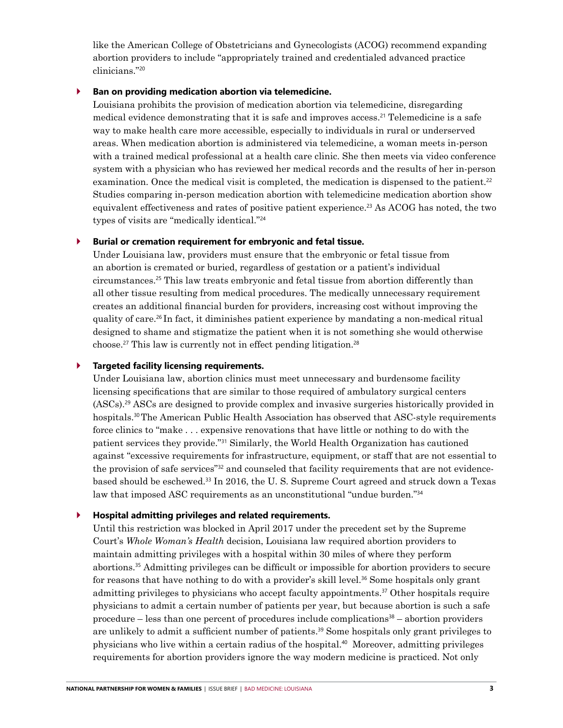like the American College of Obstetricians and Gynecologists (ACOG) recommend expanding abortion providers to include "appropriately trained and credentialed advanced practice clinicians."<sup>20</sup>

#### ` **Ban on providing medication abortion via telemedicine.**

Louisiana prohibits the provision of medication abortion via telemedicine, disregarding medical evidence demonstrating that it is safe and improves access.21 Telemedicine is a safe way to make health care more accessible, especially to individuals in rural or underserved areas. When medication abortion is administered via telemedicine, a woman meets in-person with a trained medical professional at a health care clinic. She then meets via video conference system with a physician who has reviewed her medical records and the results of her in-person examination. Once the medical visit is completed, the medication is dispensed to the patient.<sup>22</sup> Studies comparing in-person medication abortion with telemedicine medication abortion show equivalent effectiveness and rates of positive patient experience.23 As ACOG has noted, the two types of visits are "medically identical."<sup>24</sup>

#### ` **Burial or cremation requirement for embryonic and fetal tissue.**

Under Louisiana law, providers must ensure that the embryonic or fetal tissue from an abortion is cremated or buried, regardless of gestation or a patient's individual circumstances.25 This law treats embryonic and fetal tissue from abortion differently than all other tissue resulting from medical procedures. The medically unnecessary requirement creates an additional financial burden for providers, increasing cost without improving the quality of care.26 In fact, it diminishes patient experience by mandating a non-medical ritual designed to shame and stigmatize the patient when it is not something she would otherwise choose.<sup>27</sup> This law is currently not in effect pending litigation.<sup>28</sup>

#### ` **Targeted facility licensing requirements.**

Under Louisiana law, abortion clinics must meet unnecessary and burdensome facility licensing specifications that are similar to those required of ambulatory surgical centers (ASCs).29 ASCs are designed to provide complex and invasive surgeries historically provided in hospitals.<sup>30</sup> The American Public Health Association has observed that ASC-style requirements force clinics to "make . . . expensive renovations that have little or nothing to do with the patient services they provide."31 Similarly, the World Health Organization has cautioned against "excessive requirements for infrastructure, equipment, or staff that are not essential to the provision of safe services"32 and counseled that facility requirements that are not evidencebased should be eschewed.33 In 2016, the U. S. Supreme Court agreed and struck down a Texas law that imposed ASC requirements as an unconstitutional "undue burden."<sup>34</sup>

## ` **Hospital admitting privileges and related requirements.**

Until this restriction was blocked in April 2017 under the precedent set by the Supreme Court's *Whole Woman's Health* decision, Louisiana law required abortion providers to maintain admitting privileges with a hospital within 30 miles of where they perform abortions.35 Admitting privileges can be difficult or impossible for abortion providers to secure for reasons that have nothing to do with a provider's skill level.<sup>36</sup> Some hospitals only grant admitting privileges to physicians who accept faculty appointments.37 Other hospitals require physicians to admit a certain number of patients per year, but because abortion is such a safe procedure – less than one percent of procedures include complications $38$  – abortion providers are unlikely to admit a sufficient number of patients.<sup>39</sup> Some hospitals only grant privileges to physicians who live within a certain radius of the hospital.40 Moreover, admitting privileges requirements for abortion providers ignore the way modern medicine is practiced. Not only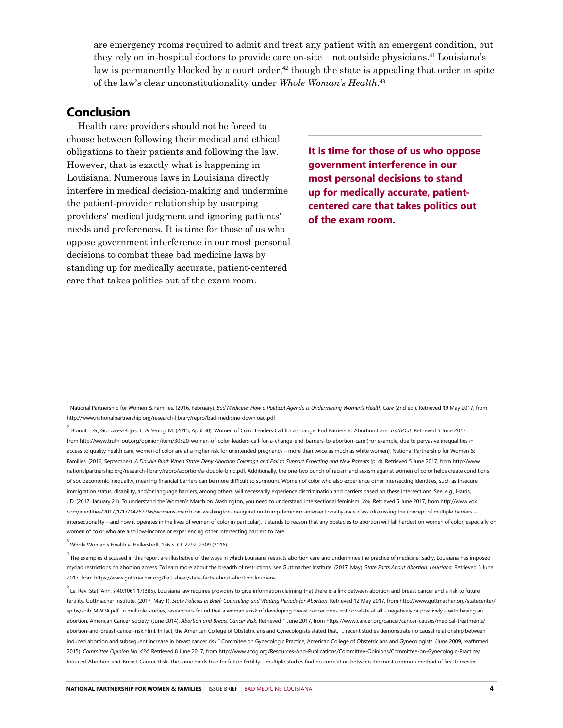are emergency rooms required to admit and treat any patient with an emergent condition, but they rely on in-hospital doctors to provide care on-site – not outside physicians.41 Louisiana's law is permanently blocked by a court order,<sup>42</sup> though the state is appealing that order in spite of the law's clear unconstitutionality under *Whole Woman's Health*. 43

# **Conclusion**

Health care providers should not be forced to choose between following their medical and ethical obligations to their patients and following the law. However, that is exactly what is happening in Louisiana. Numerous laws in Louisiana directly interfere in medical decision-making and undermine the patient-provider relationship by usurping providers' medical judgment and ignoring patients' needs and preferences. It is time for those of us who oppose government interference in our most personal decisions to combat these bad medicine laws by standing up for medically accurate, patient-centered care that takes politics out of the exam room.

**It is time for those of us who oppose government interference in our most personal decisions to stand up for medically accurate, patientcentered care that takes politics out of the exam room.** 

<sup>&</sup>lt;sup>1</sup><br>Alational Partnership for Women & Families. (2016, February). *Bad Medicine: How a Political Agenda is Undermining Women's Health Care* (2nd ed.). Retrieved 19 May 2017, from <http://www.nationalpartnership.org/research-library/repro/bad-medicine-download.pdf>

<sup>2</sup>  Blount, L.G., Gonzales-Rojas, J., & Yeung, M. (2015, April 30). Women of Color Leaders Call for a Change: End Barriers to Abortion Care. *TruthOut*. Retrieved 5 June 2017, from <http://www.truth-out.org/opinion/item/30520-women-of-color-leaders-call-for-a-change-end-barriers-to-abortion-care> (For example, due to pervasive inequalities in access to quality health care, women of color are at a higher risk for unintended pregnancy – more than twice as much as white women); National Partnership for Women & Families. (2016, September). *A Double Bind: When States Deny Abortion Coverage and Fail to Support Expecting and New Parents* (p. 4). Retrieved 5 June 2017, from [http://www.](http://www.nationalpartnership.org/research-library/repro/abortion/a-double-bind.pdf) [nationalpartnership.org/research-library/repro/abortion/a-double-bind.pdf](http://www.nationalpartnership.org/research-library/repro/abortion/a-double-bind.pdf). Additionally, the one-two punch of racism and sexism against women of color helps create conditions of socioeconomic inequality, meaning financial barriers can be more difficult to surmount. Women of color who also experience other intersecting identities, such as insecure immigration status, disability, and/or language barriers, among others, will necessarily experience discrimination and barriers based on these intersections. See, e.g., Harris, J.D. (2017, January 21). To understand the Women's March on Washington, you need to understand intersectional feminism. *Vox*. Retrieved 5 June 2017, from [http://www.vox.](http://www.vox.com/identities/2017/1/17/14267766/womens-march-on-washington-inauguration-trump-feminism-intersectionaltiy-race-class) [com/identities/2017/1/17/14267766/womens-march-on-washington-inauguration-trump-feminism-intersectionaltiy-race-class \(](http://www.vox.com/identities/2017/1/17/14267766/womens-march-on-washington-inauguration-trump-feminism-intersectionaltiy-race-class)discussing the concept of multiple barriers – intersectionality – and how it operates in the lives of women of color in particular). It stands to reason that any obstacles to abortion will fall hardest on women of color, especially on women of color who are also low-income or experiencing other intersecting barriers to care.

 $^3$  Whole Woman's Health v. Hellerstedt, 136 S. Ct. 2292, 2309 (2016).

<sup>&</sup>lt;sup>4</sup> The examples discussed in this report are illustrative of the ways in which Louisiana restricts abortion care and undermines the practice of medicine. Sadly, Louisiana has imposed myriad restrictions on abortion access. To learn more about the breadth of restrictions, see Guttmacher Institute. (2017, May). S*tate Facts About Abortion: Louisiana*. Retrieved 5 June 2017, from<https://www.guttmacher.org/fact-sheet/state-facts-about-abortion-louisiana>

s<br>La. Rev. Stat. Ann. § 40:1061.17(B)(5). Louisiana law requires providers to give information claiming that there is a link between abortion and breast cancer and a risk to future fertility. Guttmacher Institute. (2017, May 1). *State Policies in Brief: Counseling and Waiting Periods for Abortion*. Retrieved 12 May 2017, from [http://www.guttmacher.org/statecenter/](http://www.guttmacher.org/statecenter/spibs/spib_MWPA.pdf) [spibs/spib\\_MWPA.pdf](http://www.guttmacher.org/statecenter/spibs/spib_MWPA.pdf). In multiple studies, researchers found that a woman's risk of developing breast cancer does not correlate at all – negatively or positively – with having an abortion. American Cancer Society. (June 2014). *Abortion and Breast Cancer Risk*. Retrieved 1 June 2017, from [https://www.cancer.org/cancer/cancer-causes/medical-treatments/](https://www.cancer.org/cancer/cancer-causes/medical-treatments/abortion-and-breast-cancer-risk.html) [abortion-and-breast-cancer-risk.html.](https://www.cancer.org/cancer/cancer-causes/medical-treatments/abortion-and-breast-cancer-risk.html) In fact, the American College of Obstetricians and Gynecologists stated that, "…recent studies demonstrate no causal relationship between induced abortion and subsequent increase in breast cancer risk." Commitee on Gynecologic Practice, American College of Obstetricians and Gynecologists. (June 2009, reaffirmed 2015). *Committee Opinion No. 434*. Retrieved 8 June 2017, from [http://www.acog.org/Resources-And-Publications/Committee-Opinions/Committee-on-Gynecologic-Practice/](http://www.acog.org/Resources-And-Publications/Committee-Opinions/Committee-on-Gynecologic-Practice/Induced-Abortion-and-Breast-Cancer-Risk) [Induced-Abortion-and-Breast-Cancer-Risk.](http://www.acog.org/Resources-And-Publications/Committee-Opinions/Committee-on-Gynecologic-Practice/Induced-Abortion-and-Breast-Cancer-Risk) The same holds true for future fertility – multiple studies find no correlation between the most common method of first trimester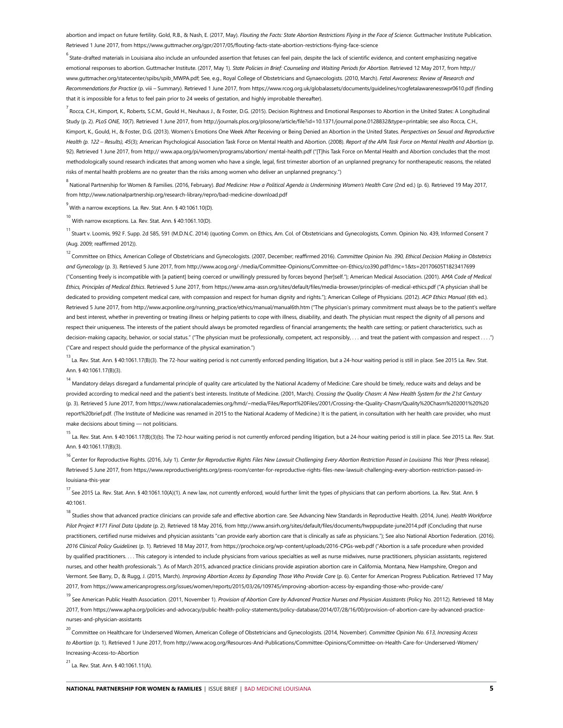abortion and impact on future fertility. Gold. R.B., & Nash. E. (2017. May). *Flouting the Facts: State Abortion Restrictions Flying in the Face of Science*. Guttmacher Institute Publication. Retrieved 1 June 2017, from <https://www.guttmacher.org/gpr/2017/05/flouting-facts-state-abortion-restrictions-flying-face-science>

<sup>6</sup> State-drafted materials in Louisiana also include an unfounded assertion that fetuses can feel pain, despite the lack of scientific evidence, and content emphasizing negative emotional responses to abortion. Guttmacher Institute. (2017, May 1). *State Policies in Brief: Counseling and Waiting Periods for Abortion*. Retrieved 12 May 2017, from [http://](http://www.guttmacher.org/statecenter/spibs/spib_MWPA.pdf) ww.guttmacher.org/statecenter/spibs/spib\_MWPA.pdf; See, e.g., Royal College of Obstetricians and Gynaecologists. (2010, March). *Fetal Awareness: Review of Research and Recommendations for Practice* (p. viii – Summary). Retrieved 1 June 2017, from<https://www.rcog.org.uk/globalassets/documents/guidelines/rcogfetalawarenesswpr0610.pdf>(finding that it is impossible for a fetus to feel pain prior to 24 weeks of gestation, and highly improbable thereafter).

,<br><sup>7</sup> Rocca, C.H., Kimport, K., Roberts, S.C.M., Gould H., Neuhaus J., & Foster, D.G. (2015). Decision Rightness and Emotional Responses to Abortion in the United States: A Longitudinal Study (p. 2). *PLoS ONE, 10*(7). Retrieved 1 June 2017, from <http://journals.plos.org/plosone/article/file?id=10.1371/journal.pone.0128832&type=printable>; see also Rocca, C.H., Kimport, K., Gould, H., & Foster, D.G. (2013). Women's Emotions One Week After Receiving or Being Denied an Abortion in the United States. *Perspectives on Sexual and Reproductive Health (p. 122 – Results), 45*(3); American Psychological Association Task Force on Mental Health and Abortion. (2008). *Report of the APA Task Force on Mental Health and Abortion* (p. 92). Retrieved 1 June 2017, from [http:// www.apa.org/pi/women/programs/abortion/ mental-health.pdf](http://www.apa.org/pi/women/programs/abortion/mental-health.pdf) ("[T]his Task Force on Mental Health and Abortion concludes that the most methodologically sound research indicates that among women who have a single, legal, first trimester abortion of an unplanned pregnancy for nontherapeutic reasons, the related risks of mental health problems are no greater than the risks among women who deliver an unplanned pregnancy.")

<sup>8</sup><br>Antional Partnership for Women & Families. (2016, February)*. Bad Medicine: How a Political Agenda is Undermining Women's Health Care (2nd ed.) (p. 6). Retrieved 19 May 2017,* from<http://www.nationalpartnership.org/research-library/repro/bad-medicine-download.pdf>

<sup>9</sup> With a narrow exceptions. La. Rev. Stat. Ann. § 40:1061.10(D).

10 With narrow exceptions. La. Rev. Stat. Ann. § 40:1061.10(D).

<sup>11</sup> Stuart v. Loomis, 992 F. Supp. 2d 585, 591 (M.D.N.C. 2014) (quoting Comm. on Ethics, Am. Col. of Obstetricians and Gynecologists, Comm. Opinion No. 439, Informed Consent 7 (Aug. 2009; reaffirmed 2012)).

<sup>12</sup> Committee on Ethics, American College of Obstetricians and Gynecologists. (2007, December; reaffirmed 2016). *Committee Opinion No. 390, Ethical Decision Making in Obstetrics and Gynecology* (p. 3). Retrieved 5 June 2017, from <http://www.acog.org/-/media/Committee-Opinions/Committee-on-Ethics/co390.pdf?dmc=1&ts=20170605T1823417699> ("Consenting freely is incompatible with [a patient] being coerced or unwillingly pressured by forces beyond [her]self."); American Medical Association. (2001). A*MA Code of Medical Ethics, Principles of Medical Ethics*. Retrieved 5 June 2017, from<https://www.ama-assn.org/sites/default/files/media-browser/principles-of-medical-ethics.pdf>("A physician shall be dedicated to providing competent medical care, with compassion and respect for human dignity and rights."); American College of Physicians. (2012). *ACP Ethics Manual* (6th ed.). Retrieved 5 June 2017, from [http://www.acponline.org/running\\_practice/ethics/manual/manual6th.htm](http://www.acponline.org/running_practice/ethics/manual/manual6th.htm) ("The physician's primary commitment must always be to the patient's welfare and best interest, whether in preventing or treating illness or helping patients to cope with illness, disability, and death. The physician must respect the dignity of all persons and respect their uniqueness. The interests of the patient should always be promoted regardless of financial arrangements; the health care setting; or patient characteristics, such as decision-making capacity, behavior, or social status." ("The physician must be professionally, competent, act responsibly, . . . and treat the patient with compassion and respect . . . .") ("Care and respect should guide the performance of the physical examination.")

13<br>La. Rev. Stat. Ann. § 40:1061.17(B)(3). The 72-hour waiting period is not currently enforced pending litigation, but a 24-hour waiting period is still in place. See 2015 La. Rev. Stat. Ann. § 40:1061.17(B)(3).

<sup>14</sup> Mandatory delays disregard a fundamental principle of quality care articulated by the National Academy of Medicine: Care should be timely, reduce waits and delays and be provided according to medical need and the patient's best interests. Institute of Medicine. (2001, March). *Crossing the Quality Chasm: A New Health System for the 21st Century* (p. 3). Retrieved 5 June 2017, from [https://www.nationalacademies.org/hmd/~media/Files/Report%20Files/2001/Crossing-the-Quality-Chasm/Quality%20Chasm%202001%20%20](http://www.nationalacademies.org/hmd/~/media/Files/Report%20Files/2001/Crossing-the-Quality-Chasm/Quality%20Chasm%202001%20%20report%20brief.pdf) [report%20brief.pdf](http://www.nationalacademies.org/hmd/~/media/Files/Report%20Files/2001/Crossing-the-Quality-Chasm/Quality%20Chasm%202001%20%20report%20brief.pdf). (The Institute of Medicine was renamed in 2015 to the National Academy of Medicine.) It is the patient, in consultation with her health care provider, who must make decisions about timing — not politicians.

<sup>15</sup> La. Rev. Stat. Ann. § 40:1061.17(B)(3)(b). The 72-hour waiting period is not currently enforced pending litigation, but a 24-hour waiting period is still in place. See 2015 La. Rev. Stat. Ann. § 40:1061.17(B)(3).

<sup>16</sup> Center for Reproductive Rights. (2016, July 1). *Center for Reproductive Rights Files New Lawsuit Challenging Every Abortion Restriction Passed in Louisiana This Year [Press release].* Retrieved 5 June 2017, from [https://www.reproductiverights.org/press-room/center-for-reproductive-rights-files-new-lawsuit-challenging-every-abortion-restriction-passed-in](https://www.reproductiverights.org/press-room/center-for-reproductive-rights-files-new-lawsuit-challenging-every-abortion-restriction-passed-in-louisiana-this-year)[louisiana-this-year](https://www.reproductiverights.org/press-room/center-for-reproductive-rights-files-new-lawsuit-challenging-every-abortion-restriction-passed-in-louisiana-this-year) 

<sup>17</sup> See 2015 La. Rev. Stat. Ann. § 40:1061.10(A)(1). A new law, not currently enforced, would further limit the types of physicians that can perform abortions. La. Rev. Stat. Ann. § 40:1061.

<sup>18</sup> Studies show that advanced practice clinicians can provide safe and effective abortion care. See Advancing New Standards in Reproductive Health. (2014, June). *Health Workforce Pilot Project #171 Final Data Update* (p. 2). Retrieved 18 May 2016, from<http://www.ansirh.org/sites/default/files/documents/hwppupdate-june2014.pdf>(Concluding that nurse practitioners, certified nurse midwives and physician assistants "can provide early abortion care that is clinically as safe as physicians."); See also National Abortion Federation. (2016). *2016 Clinical Policy Guidelines* (p. 1). Retrieved 18 May 2017, from <https://prochoice.org/wp-content/uploads/2016-CPGs-web.pdf>("Abortion is a safe procedure when provided by qualified practitioners.... This category is intended to include physicians from various specialties as well as nurse midwives, nurse practitioners, physician assistants, registered nurses, and other health professionals."). As of March 2015, advanced practice clinicians provide aspiration abortion care in California, Montana, New Hampshire, Oregon and Vermont. See Barry, D., & Rugg, J. (2015, March). *Improving Abortion Access by Expanding Those Who Provide Care* (p. 6). Center for American Progress Publication. Retrieved 17 May 2017, from <https://www.americanprogress.org/issues/women/reports/2015/03/26/109745/improving-abortion-access-by-expanding-those-who-provide-care/>

<sup>19</sup> See American Public Health Association. (2011, November 1). Provision of Abortion Care by Advanced Practice Nurses and Physician Assistants (Policy No. 20112). Retrieved 18 May 2017, from [https://www.apha.org/policies-and-advocacy/public-health-policy-statements/policy-database/2014/07/28/16/00/provision-of-abortion-care-by-advanced-practice](https://www.apha.org/policies-and-advocacy/public-health-policy-statements/policy-database/2014/07/28/16/00/provision-of-abortion-care-by-advanced-practice-nurses-and-physician-assistants)[nurses-and-physician-assistants](https://www.apha.org/policies-and-advocacy/public-health-policy-statements/policy-database/2014/07/28/16/00/provision-of-abortion-care-by-advanced-practice-nurses-and-physician-assistants)

<sup>20</sup> Committee on Healthcare for Underserved Women, American College of Obstetricians and Gynecologists. (2014, November). *Committee Opinion No. 613, Increasing Access to Abortion* (p. 1). Retrieved 1 June 2017, from [http://www.acog.org/Resources-And-Publications/Committee-Opinions/Committee-on-Health-Care-for-Underserved-Women/](https://www.acog.org/Resources-And-Publications/Committee-Opinions/Committee-on-Health-Care-for-Underserved-Women/Increasing-Access-to-Abortion) [Increasing-Access-to-Abortion](https://www.acog.org/Resources-And-Publications/Committee-Opinions/Committee-on-Health-Care-for-Underserved-Women/Increasing-Access-to-Abortion) 

<sup>21</sup> La. Rev. Stat. Ann. § 40:1061.11(A).